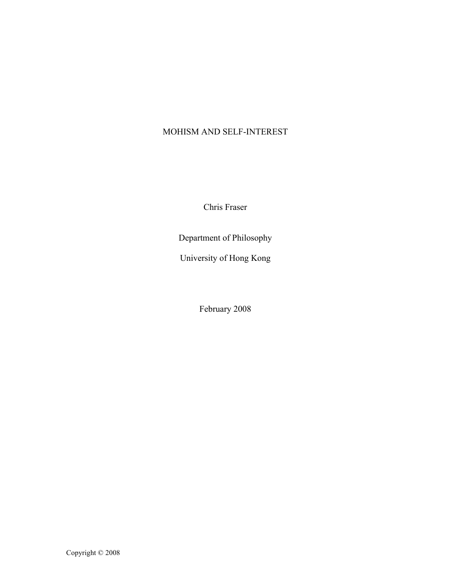# MOHISM AND SELF-INTEREST

Chris Fraser

Department of Philosophy

University of Hong Kong

February 2008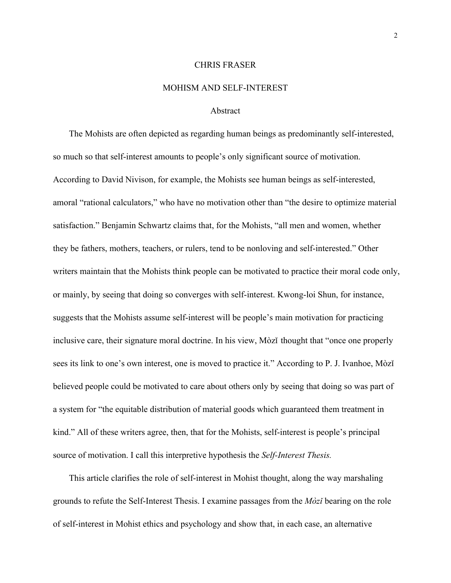## CHRIS FRASER

#### MOHISM AND SELF-INTEREST

#### Abstract

The Mohists are often depicted as regarding human beings as predominantly self-interested, so much so that self-interest amounts to people's only significant source of motivation. According to David Nivison, for example, the Mohists see human beings as self-interested, amoral "rational calculators," who have no motivation other than "the desire to optimize material satisfaction." Benjamin Schwartz claims that, for the Mohists, "all men and women, whether they be fathers, mothers, teachers, or rulers, tend to be nonloving and self-interested." Other writers maintain that the Mohists think people can be motivated to practice their moral code only, or mainly, by seeing that doing so converges with self-interest. Kwong-loi Shun, for instance, suggests that the Mohists assume self-interest will be people's main motivation for practicing inclusive care, their signature moral doctrine. In his view, Mòzǐ thought that "once one properly sees its link to one's own interest, one is moved to practice it." According to P. J. Ivanhoe, Mòzǐ believed people could be motivated to care about others only by seeing that doing so was part of a system for "the equitable distribution of material goods which guaranteed them treatment in kind." All of these writers agree, then, that for the Mohists, self-interest is people's principal source of motivation. I call this interpretive hypothesis the *Self-Interest Thesis.* 

This article clarifies the role of self-interest in Mohist thought, along the way marshaling grounds to refute the Self-Interest Thesis. I examine passages from the *Mòzǐ* bearing on the role of self-interest in Mohist ethics and psychology and show that, in each case, an alternative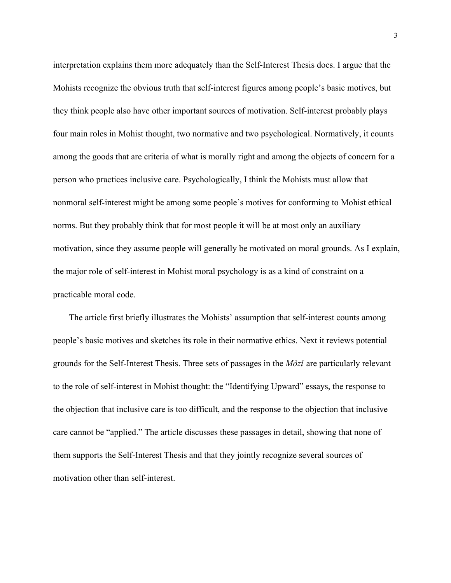interpretation explains them more adequately than the Self-Interest Thesis does. I argue that the Mohists recognize the obvious truth that self-interest figures among people's basic motives, but they think people also have other important sources of motivation. Self-interest probably plays four main roles in Mohist thought, two normative and two psychological. Normatively, it counts among the goods that are criteria of what is morally right and among the objects of concern for a person who practices inclusive care. Psychologically, I think the Mohists must allow that nonmoral self-interest might be among some people's motives for conforming to Mohist ethical norms. But they probably think that for most people it will be at most only an auxiliary motivation, since they assume people will generally be motivated on moral grounds. As I explain, the major role of self-interest in Mohist moral psychology is as a kind of constraint on a practicable moral code.

The article first briefly illustrates the Mohists' assumption that self-interest counts among people's basic motives and sketches its role in their normative ethics. Next it reviews potential grounds for the Self-Interest Thesis. Three sets of passages in the *Mòzǐ* are particularly relevant to the role of self-interest in Mohist thought: the "Identifying Upward" essays, the response to the objection that inclusive care is too difficult, and the response to the objection that inclusive care cannot be "applied." The article discusses these passages in detail, showing that none of them supports the Self-Interest Thesis and that they jointly recognize several sources of motivation other than self-interest.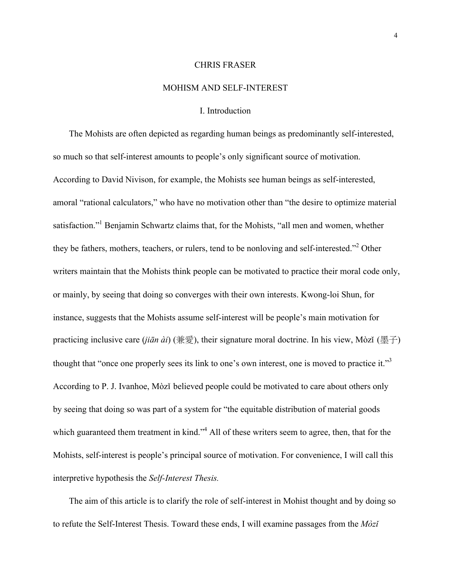# CHRIS FRASER

#### MOHISM AND SELF-INTEREST

#### I. Introduction

The Mohists are often depicted as regarding human beings as predominantly self-interested, so much so that self-interest amounts to people's only significant source of motivation. According to David Nivison, for example, the Mohists see human beings as self-interested, amoral "rational calculators," who have no motivation other than "the desire to optimize material satisfaction."<sup>1</sup> Benjamin Schwartz claims that, for the Mohists, "all men and women, whether they be fathers, mothers, teachers, or rulers, tend to be nonloving and self-interested."<sup>2</sup> Other writers maintain that the Mohists think people can be motivated to practice their moral code only, or mainly, by seeing that doing so converges with their own interests. Kwong-loi Shun, for instance, suggests that the Mohists assume self-interest will be people's main motivation for practicing inclusive care (*jiān ài*) (兼愛), their signature moral doctrine. In his view, Mòzǐ (墨子) thought that "once one properly sees its link to one's own interest, one is moved to practice it."3 According to P. J. Ivanhoe, Mòzǐ believed people could be motivated to care about others only by seeing that doing so was part of a system for "the equitable distribution of material goods which guaranteed them treatment in kind."<sup>4</sup> All of these writers seem to agree, then, that for the Mohists, self-interest is people's principal source of motivation. For convenience, I will call this interpretive hypothesis the *Self-Interest Thesis.* 

The aim of this article is to clarify the role of self-interest in Mohist thought and by doing so to refute the Self-Interest Thesis. Toward these ends, I will examine passages from the *Mòzǐ*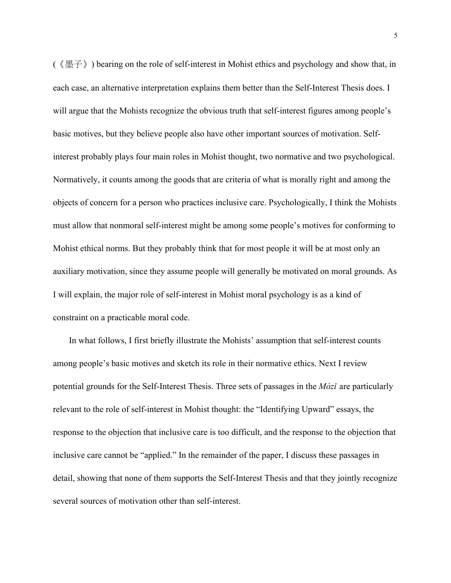(《墨子》) bearing on the role of self-interest in Mohist ethics and psychology and show that, in each case, an alternative interpretation explains them better than the Self-Interest Thesis does. I will argue that the Mohists recognize the obvious truth that self-interest figures among people's basic motives, but they believe people also have other important sources of motivation. Selfinterest probably plays four main roles in Mohist thought, two normative and two psychological. Normatively, it counts among the goods that are criteria of what is morally right and among the objects of concern for a person who practices inclusive care. Psychologically, I think the Mohists must allow that nonmoral self-interest might be among some people's motives for conforming to Mohist ethical norms. But they probably think that for most people it will be at most only an auxiliary motivation, since they assume people will generally be motivated on moral grounds. As I will explain, the major role of self-interest in Mohist moral psychology is as a kind of constraint on a practicable moral code.

In what follows, I first briefly illustrate the Mohists' assumption that self-interest counts among people's basic motives and sketch its role in their normative ethics. Next I review potential grounds for the Self-Interest Thesis. Three sets of passages in the *Mòzǐ* are particularly relevant to the role of self-interest in Mohist thought: the "Identifying Upward" essays, the response to the objection that inclusive care is too difficult, and the response to the objection that inclusive care cannot be "applied." In the remainder of the paper, I discuss these passages in detail, showing that none of them supports the Self-Interest Thesis and that they jointly recognize several sources of motivation other than self-interest.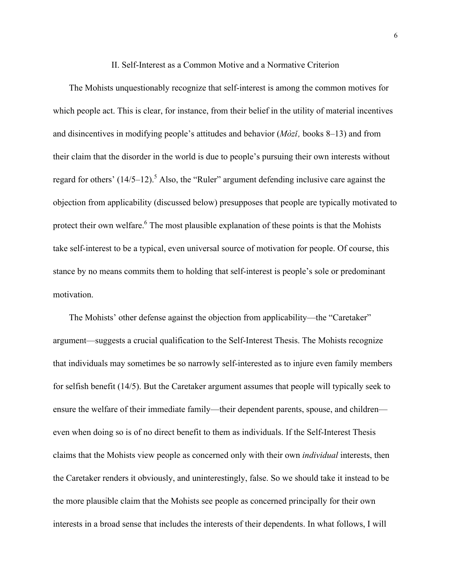## II. Self-Interest as a Common Motive and a Normative Criterion

The Mohists unquestionably recognize that self-interest is among the common motives for which people act. This is clear, for instance, from their belief in the utility of material incentives and disincentives in modifying people's attitudes and behavior (*Mòzǐ,* books 8–13) and from their claim that the disorder in the world is due to people's pursuing their own interests without regard for others'  $(14/5-12)$ .<sup>5</sup> Also, the "Ruler" argument defending inclusive care against the objection from applicability (discussed below) presupposes that people are typically motivated to protect their own welfare. <sup>6</sup> The most plausible explanation of these points is that the Mohists take self-interest to be a typical, even universal source of motivation for people. Of course, this stance by no means commits them to holding that self-interest is people's sole or predominant motivation.

The Mohists' other defense against the objection from applicability—the "Caretaker" argument—suggests a crucial qualification to the Self-Interest Thesis. The Mohists recognize that individuals may sometimes be so narrowly self-interested as to injure even family members for selfish benefit (14/5). But the Caretaker argument assumes that people will typically seek to ensure the welfare of their immediate family—their dependent parents, spouse, and children even when doing so is of no direct benefit to them as individuals. If the Self-Interest Thesis claims that the Mohists view people as concerned only with their own *individual* interests, then the Caretaker renders it obviously, and uninterestingly, false. So we should take it instead to be the more plausible claim that the Mohists see people as concerned principally for their own interests in a broad sense that includes the interests of their dependents. In what follows, I will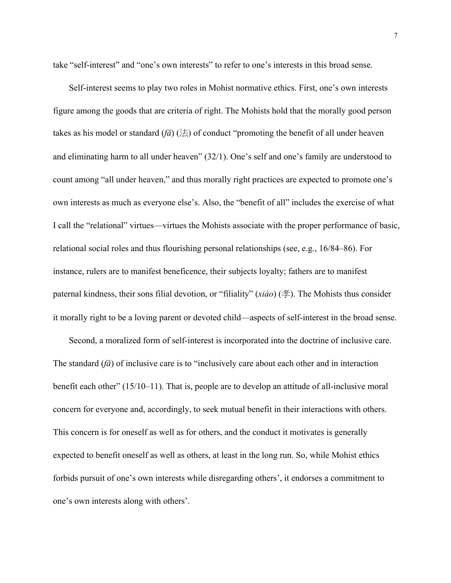take "self-interest" and "one's own interests" to refer to one's interests in this broad sense.

Self-interest seems to play two roles in Mohist normative ethics. First, one's own interests figure among the goods that are criteria of right. The Mohists hold that the morally good person takes as his model or standard  $(f\tilde{a})$  ( $\tilde{a}$ ) of conduct "promoting the benefit of all under heaven and eliminating harm to all under heaven" (32/1). One's self and one's family are understood to count among "all under heaven," and thus morally right practices are expected to promote one's own interests as much as everyone else's. Also, the "benefit of all" includes the exercise of what I call the "relational" virtues—virtues the Mohists associate with the proper performance of basic, relational social roles and thus flourishing personal relationships (see, e.g., 16/84–86). For instance, rulers are to manifest beneficence, their subjects loyalty; fathers are to manifest paternal kindness, their sons filial devotion, or "filiality" (*xiào*) (孝). The Mohists thus consider it morally right to be a loving parent or devoted child—aspects of self-interest in the broad sense.

Second, a moralized form of self-interest is incorporated into the doctrine of inclusive care. The standard (*fǎ*) of inclusive care is to "inclusively care about each other and in interaction benefit each other" (15/10–11). That is, people are to develop an attitude of all-inclusive moral concern for everyone and, accordingly, to seek mutual benefit in their interactions with others. This concern is for oneself as well as for others, and the conduct it motivates is generally expected to benefit oneself as well as others, at least in the long run. So, while Mohist ethics forbids pursuit of one's own interests while disregarding others', it endorses a commitment to one's own interests along with others'.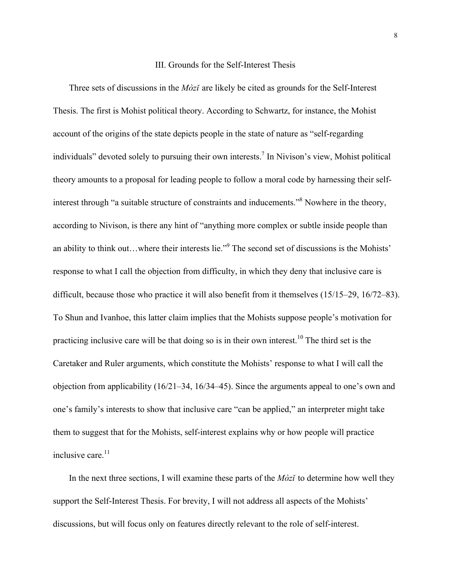## III. Grounds for the Self-Interest Thesis

Three sets of discussions in the *Mòzǐ* are likely be cited as grounds for the Self-Interest Thesis. The first is Mohist political theory. According to Schwartz, for instance, the Mohist account of the origins of the state depicts people in the state of nature as "self-regarding individuals" devoted solely to pursuing their own interests.<sup>7</sup> In Nivison's view, Mohist political theory amounts to a proposal for leading people to follow a moral code by harnessing their selfinterest through "a suitable structure of constraints and inducements."8 Nowhere in the theory, according to Nivison, is there any hint of "anything more complex or subtle inside people than an ability to think out...where their interests lie."<sup>9</sup> The second set of discussions is the Mohists' response to what I call the objection from difficulty, in which they deny that inclusive care is difficult, because those who practice it will also benefit from it themselves (15/15–29, 16/72–83). To Shun and Ivanhoe, this latter claim implies that the Mohists suppose people's motivation for practicing inclusive care will be that doing so is in their own interest.<sup>10</sup> The third set is the Caretaker and Ruler arguments, which constitute the Mohists' response to what I will call the objection from applicability (16/21–34, 16/34–45). Since the arguments appeal to one's own and one's family's interests to show that inclusive care "can be applied," an interpreter might take them to suggest that for the Mohists, self-interest explains why or how people will practice inclusive care $11$ 

In the next three sections, I will examine these parts of the *Mòzǐ* to determine how well they support the Self-Interest Thesis. For brevity, I will not address all aspects of the Mohists' discussions, but will focus only on features directly relevant to the role of self-interest.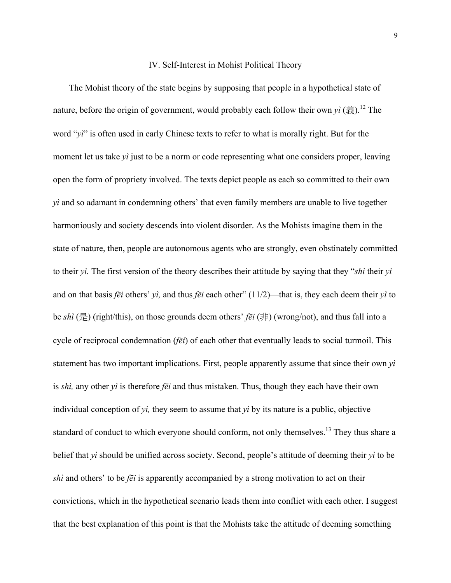## IV. Self-Interest in Mohist Political Theory

The Mohist theory of the state begins by supposing that people in a hypothetical state of nature, before the origin of government, would probably each follow their own  $\vec{v}$  ( $\ddot{\tilde{\mathcal{E}}}$ ).<sup>12</sup> The word "*yì*" is often used in early Chinese texts to refer to what is morally right. But for the moment let us take *yì* just to be a norm or code representing what one considers proper, leaving open the form of propriety involved. The texts depict people as each so committed to their own *yì* and so adamant in condemning others' that even family members are unable to live together harmoniously and society descends into violent disorder. As the Mohists imagine them in the state of nature, then, people are autonomous agents who are strongly, even obstinately committed to their *yì.* The first version of the theory describes their attitude by saying that they "*shì* their *yì*  and on that basis *fēi* others' *yì,* and thus *fēi* each other" (11/2)—that is, they each deem their *yì* to be *shì* (是) (right/this), on those grounds deem others' *fēi* (非) (wrong/not), and thus fall into a cycle of reciprocal condemnation (*fēi*) of each other that eventually leads to social turmoil. This statement has two important implications. First, people apparently assume that since their own *yì* is *shì,* any other *yì* is therefore *fēi* and thus mistaken. Thus, though they each have their own individual conception of *yì,* they seem to assume that *yì* by its nature is a public, objective standard of conduct to which everyone should conform, not only themselves.<sup>13</sup> They thus share a belief that *yì* should be unified across society. Second, people's attitude of deeming their *yì* to be *shì* and others' to be *fēi* is apparently accompanied by a strong motivation to act on their convictions, which in the hypothetical scenario leads them into conflict with each other. I suggest that the best explanation of this point is that the Mohists take the attitude of deeming something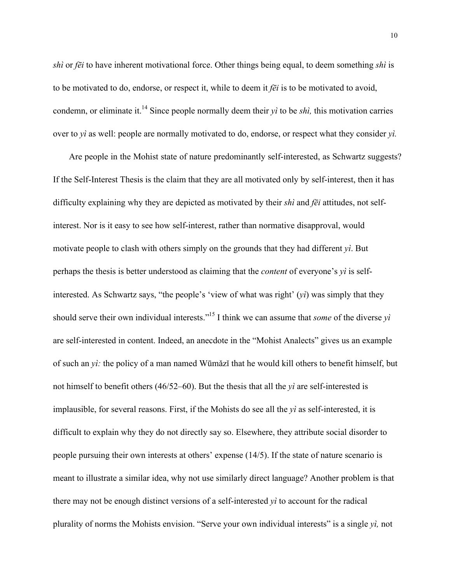*shì* or *fēi* to have inherent motivational force. Other things being equal, to deem something *shì* is to be motivated to do, endorse, or respect it, while to deem it *fēi* is to be motivated to avoid, condemn, or eliminate it.<sup>14</sup> Since people normally deem their *vi* to be *shi*, this motivation carries over to *yì* as well: people are normally motivated to do, endorse, or respect what they consider *yì.* 

Are people in the Mohist state of nature predominantly self-interested, as Schwartz suggests? If the Self-Interest Thesis is the claim that they are all motivated only by self-interest, then it has difficulty explaining why they are depicted as motivated by their *shì* and *fēi* attitudes, not selfinterest. Nor is it easy to see how self-interest, rather than normative disapproval, would motivate people to clash with others simply on the grounds that they had different *yì*. But perhaps the thesis is better understood as claiming that the *content* of everyone's *yì* is selfinterested. As Schwartz says, "the people's 'view of what was right' (*yì*) was simply that they should serve their own individual interests."15 I think we can assume that *some* of the diverse *yì* are self-interested in content. Indeed, an anecdote in the "Mohist Analects" gives us an example of such an *yì:* the policy of a man named Wūmǎzǐ that he would kill others to benefit himself, but not himself to benefit others (46/52–60). But the thesis that all the *yì* are self-interested is implausible, for several reasons. First, if the Mohists do see all the *yì* as self-interested, it is difficult to explain why they do not directly say so. Elsewhere, they attribute social disorder to people pursuing their own interests at others' expense (14/5). If the state of nature scenario is meant to illustrate a similar idea, why not use similarly direct language? Another problem is that there may not be enough distinct versions of a self-interested *yì* to account for the radical plurality of norms the Mohists envision. "Serve your own individual interests" is a single *yì,* not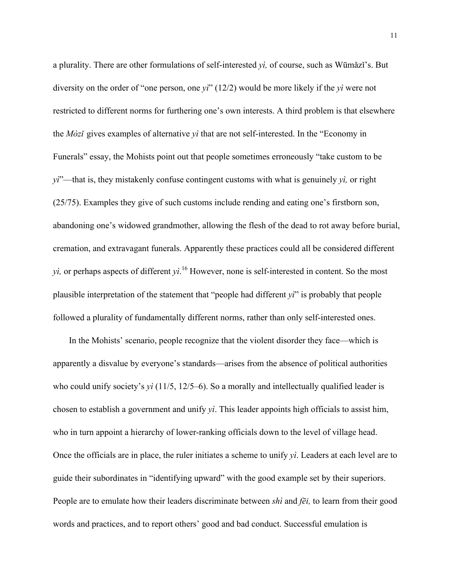a plurality. There are other formulations of self-interested *yì,* of course, such as Wūmǎzǐ's. But diversity on the order of "one person, one *yì*" (12/2) would be more likely if the *yì* were not restricted to different norms for furthering one's own interests. A third problem is that elsewhere the *Mòzǐ* gives examples of alternative *yì* that are not self-interested. In the "Economy in Funerals" essay, the Mohists point out that people sometimes erroneously "take custom to be *yì*"—that is, they mistakenly confuse contingent customs with what is genuinely *yì,* or right (25/75). Examples they give of such customs include rending and eating one's firstborn son, abandoning one's widowed grandmother, allowing the flesh of the dead to rot away before burial, cremation, and extravagant funerals. Apparently these practices could all be considered different *yì*, or perhaps aspects of different *yi*.<sup>16</sup> However, none is self-interested in content. So the most plausible interpretation of the statement that "people had different *yì*" is probably that people followed a plurality of fundamentally different norms, rather than only self-interested ones.

In the Mohists' scenario, people recognize that the violent disorder they face—which is apparently a disvalue by everyone's standards—arises from the absence of political authorities who could unify society's *yì* (11/5, 12/5–6). So a morally and intellectually qualified leader is chosen to establish a government and unify *yì*. This leader appoints high officials to assist him, who in turn appoint a hierarchy of lower-ranking officials down to the level of village head. Once the officials are in place, the ruler initiates a scheme to unify *yì*. Leaders at each level are to guide their subordinates in "identifying upward" with the good example set by their superiors. People are to emulate how their leaders discriminate between *shì* and *fēi,* to learn from their good words and practices, and to report others' good and bad conduct. Successful emulation is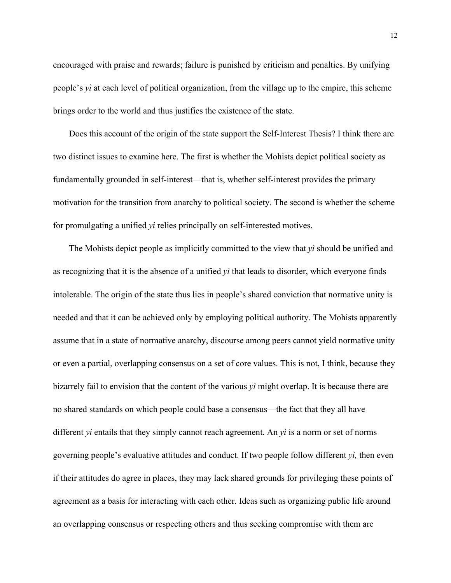encouraged with praise and rewards; failure is punished by criticism and penalties. By unifying people's *yì* at each level of political organization, from the village up to the empire, this scheme brings order to the world and thus justifies the existence of the state.

Does this account of the origin of the state support the Self-Interest Thesis? I think there are two distinct issues to examine here. The first is whether the Mohists depict political society as fundamentally grounded in self-interest—that is, whether self-interest provides the primary motivation for the transition from anarchy to political society. The second is whether the scheme for promulgating a unified *yì* relies principally on self-interested motives.

The Mohists depict people as implicitly committed to the view that *yì* should be unified and as recognizing that it is the absence of a unified *yì* that leads to disorder, which everyone finds intolerable. The origin of the state thus lies in people's shared conviction that normative unity is needed and that it can be achieved only by employing political authority. The Mohists apparently assume that in a state of normative anarchy, discourse among peers cannot yield normative unity or even a partial, overlapping consensus on a set of core values. This is not, I think, because they bizarrely fail to envision that the content of the various *yì* might overlap. It is because there are no shared standards on which people could base a consensus—the fact that they all have different *yì* entails that they simply cannot reach agreement. An *yì* is a norm or set of norms governing people's evaluative attitudes and conduct. If two people follow different *yì,* then even if their attitudes do agree in places, they may lack shared grounds for privileging these points of agreement as a basis for interacting with each other. Ideas such as organizing public life around an overlapping consensus or respecting others and thus seeking compromise with them are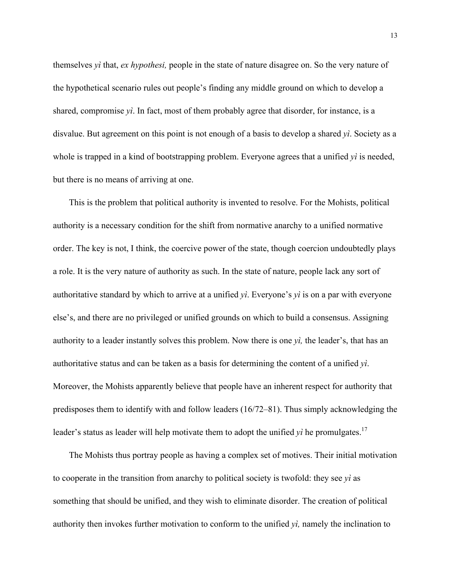themselves *yì* that, *ex hypothesi,* people in the state of nature disagree on. So the very nature of the hypothetical scenario rules out people's finding any middle ground on which to develop a shared, compromise  $y_i$ . In fact, most of them probably agree that disorder, for instance, is a disvalue. But agreement on this point is not enough of a basis to develop a shared *yì*. Society as a whole is trapped in a kind of bootstrapping problem. Everyone agrees that a unified *yì* is needed, but there is no means of arriving at one.

This is the problem that political authority is invented to resolve. For the Mohists, political authority is a necessary condition for the shift from normative anarchy to a unified normative order. The key is not, I think, the coercive power of the state, though coercion undoubtedly plays a role. It is the very nature of authority as such. In the state of nature, people lack any sort of authoritative standard by which to arrive at a unified  $y\hat{i}$ . Everyone's  $y\hat{i}$  is on a par with everyone else's, and there are no privileged or unified grounds on which to build a consensus. Assigning authority to a leader instantly solves this problem. Now there is one *yì,* the leader's, that has an authoritative status and can be taken as a basis for determining the content of a unified *yì*. Moreover, the Mohists apparently believe that people have an inherent respect for authority that predisposes them to identify with and follow leaders (16/72–81). Thus simply acknowledging the leader's status as leader will help motivate them to adopt the unified  $yi$  he promulgates.<sup>17</sup>

The Mohists thus portray people as having a complex set of motives. Their initial motivation to cooperate in the transition from anarchy to political society is twofold: they see *yì* as something that should be unified, and they wish to eliminate disorder. The creation of political authority then invokes further motivation to conform to the unified  $y_i$ , namely the inclination to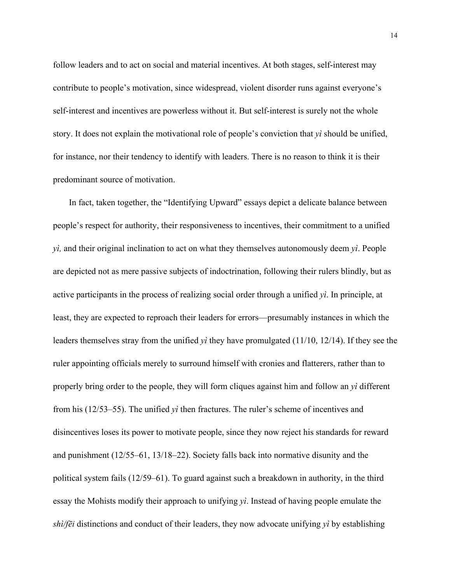follow leaders and to act on social and material incentives. At both stages, self-interest may contribute to people's motivation, since widespread, violent disorder runs against everyone's self-interest and incentives are powerless without it. But self-interest is surely not the whole story. It does not explain the motivational role of people's conviction that *yì* should be unified, for instance, nor their tendency to identify with leaders. There is no reason to think it is their predominant source of motivation.

In fact, taken together, the "Identifying Upward" essays depict a delicate balance between people's respect for authority, their responsiveness to incentives, their commitment to a unified *yì,* and their original inclination to act on what they themselves autonomously deem *yì*. People are depicted not as mere passive subjects of indoctrination, following their rulers blindly, but as active participants in the process of realizing social order through a unified *yì*. In principle, at least, they are expected to reproach their leaders for errors—presumably instances in which the leaders themselves stray from the unified *yì* they have promulgated (11/10, 12/14). If they see the ruler appointing officials merely to surround himself with cronies and flatterers, rather than to properly bring order to the people, they will form cliques against him and follow an *yì* different from his (12/53–55). The unified *yì* then fractures. The ruler's scheme of incentives and disincentives loses its power to motivate people, since they now reject his standards for reward and punishment (12/55–61, 13/18–22). Society falls back into normative disunity and the political system fails (12/59–61). To guard against such a breakdown in authority, in the third essay the Mohists modify their approach to unifying *yì*. Instead of having people emulate the *shì/fēi* distinctions and conduct of their leaders, they now advocate unifying *yì* by establishing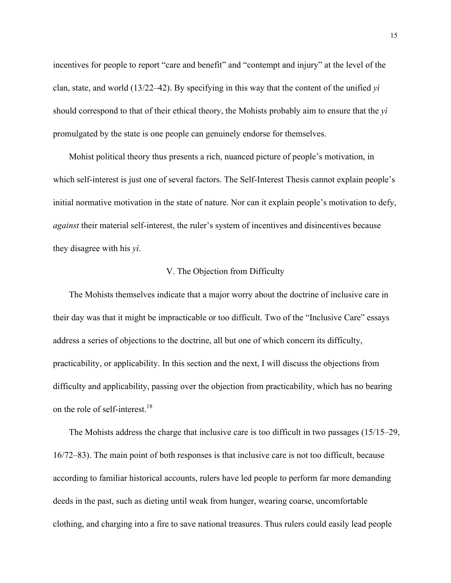incentives for people to report "care and benefit" and "contempt and injury" at the level of the clan, state, and world (13/22–42). By specifying in this way that the content of the unified *yì*  should correspond to that of their ethical theory, the Mohists probably aim to ensure that the  $y\dot{i}$ promulgated by the state is one people can genuinely endorse for themselves.

Mohist political theory thus presents a rich, nuanced picture of people's motivation, in which self-interest is just one of several factors. The Self-Interest Thesis cannot explain people's initial normative motivation in the state of nature. Nor can it explain people's motivation to defy, *against* their material self-interest, the ruler's system of incentives and disincentives because they disagree with his *yì*.

# V. The Objection from Difficulty

The Mohists themselves indicate that a major worry about the doctrine of inclusive care in their day was that it might be impracticable or too difficult. Two of the "Inclusive Care" essays address a series of objections to the doctrine, all but one of which concern its difficulty, practicability, or applicability. In this section and the next, I will discuss the objections from difficulty and applicability, passing over the objection from practicability, which has no bearing on the role of self-interest.<sup>18</sup>

The Mohists address the charge that inclusive care is too difficult in two passages (15/15–29, 16/72–83). The main point of both responses is that inclusive care is not too difficult, because according to familiar historical accounts, rulers have led people to perform far more demanding deeds in the past, such as dieting until weak from hunger, wearing coarse, uncomfortable clothing, and charging into a fire to save national treasures. Thus rulers could easily lead people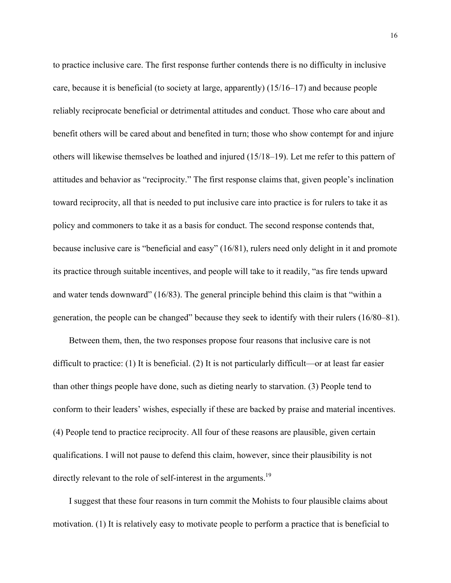to practice inclusive care. The first response further contends there is no difficulty in inclusive care, because it is beneficial (to society at large, apparently) (15/16–17) and because people reliably reciprocate beneficial or detrimental attitudes and conduct. Those who care about and benefit others will be cared about and benefited in turn; those who show contempt for and injure others will likewise themselves be loathed and injured (15/18–19). Let me refer to this pattern of attitudes and behavior as "reciprocity." The first response claims that, given people's inclination toward reciprocity, all that is needed to put inclusive care into practice is for rulers to take it as policy and commoners to take it as a basis for conduct. The second response contends that, because inclusive care is "beneficial and easy" (16/81), rulers need only delight in it and promote its practice through suitable incentives, and people will take to it readily, "as fire tends upward and water tends downward" (16/83). The general principle behind this claim is that "within a generation, the people can be changed" because they seek to identify with their rulers (16/80–81).

Between them, then, the two responses propose four reasons that inclusive care is not difficult to practice: (1) It is beneficial. (2) It is not particularly difficult—or at least far easier than other things people have done, such as dieting nearly to starvation. (3) People tend to conform to their leaders' wishes, especially if these are backed by praise and material incentives. (4) People tend to practice reciprocity. All four of these reasons are plausible, given certain qualifications. I will not pause to defend this claim, however, since their plausibility is not directly relevant to the role of self-interest in the arguments.<sup>19</sup>

I suggest that these four reasons in turn commit the Mohists to four plausible claims about motivation. (1) It is relatively easy to motivate people to perform a practice that is beneficial to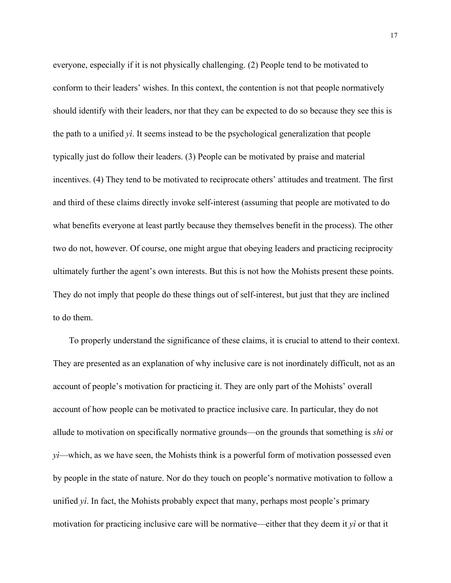everyone, especially if it is not physically challenging. (2) People tend to be motivated to conform to their leaders' wishes. In this context, the contention is not that people normatively should identify with their leaders, nor that they can be expected to do so because they see this is the path to a unified *yì*. It seems instead to be the psychological generalization that people typically just do follow their leaders. (3) People can be motivated by praise and material incentives. (4) They tend to be motivated to reciprocate others' attitudes and treatment. The first and third of these claims directly invoke self-interest (assuming that people are motivated to do what benefits everyone at least partly because they themselves benefit in the process). The other two do not, however. Of course, one might argue that obeying leaders and practicing reciprocity ultimately further the agent's own interests. But this is not how the Mohists present these points. They do not imply that people do these things out of self-interest, but just that they are inclined to do them.

To properly understand the significance of these claims, it is crucial to attend to their context. They are presented as an explanation of why inclusive care is not inordinately difficult, not as an account of people's motivation for practicing it. They are only part of the Mohists' overall account of how people can be motivated to practice inclusive care. In particular, they do not allude to motivation on specifically normative grounds—on the grounds that something is *shì* or *yì*—which, as we have seen, the Mohists think is a powerful form of motivation possessed even by people in the state of nature. Nor do they touch on people's normative motivation to follow a unified *yì*. In fact, the Mohists probably expect that many, perhaps most people's primary motivation for practicing inclusive care will be normative—either that they deem it *yì* or that it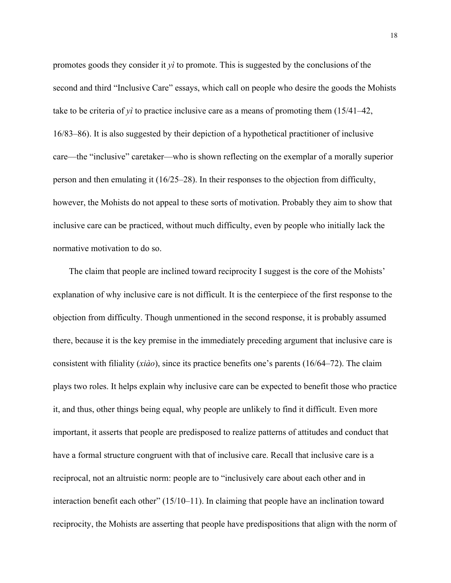promotes goods they consider it *yì* to promote. This is suggested by the conclusions of the second and third "Inclusive Care" essays, which call on people who desire the goods the Mohists take to be criteria of *yi* to practice inclusive care as a means of promoting them  $(15/41-42)$ , 16/83–86). It is also suggested by their depiction of a hypothetical practitioner of inclusive care—the "inclusive" caretaker—who is shown reflecting on the exemplar of a morally superior person and then emulating it (16/25–28). In their responses to the objection from difficulty, however, the Mohists do not appeal to these sorts of motivation. Probably they aim to show that inclusive care can be practiced, without much difficulty, even by people who initially lack the normative motivation to do so.

The claim that people are inclined toward reciprocity I suggest is the core of the Mohists' explanation of why inclusive care is not difficult. It is the centerpiece of the first response to the objection from difficulty. Though unmentioned in the second response, it is probably assumed there, because it is the key premise in the immediately preceding argument that inclusive care is consistent with filiality (*xiào*), since its practice benefits one's parents (16/64–72). The claim plays two roles. It helps explain why inclusive care can be expected to benefit those who practice it, and thus, other things being equal, why people are unlikely to find it difficult. Even more important, it asserts that people are predisposed to realize patterns of attitudes and conduct that have a formal structure congruent with that of inclusive care. Recall that inclusive care is a reciprocal, not an altruistic norm: people are to "inclusively care about each other and in interaction benefit each other" (15/10–11). In claiming that people have an inclination toward reciprocity, the Mohists are asserting that people have predispositions that align with the norm of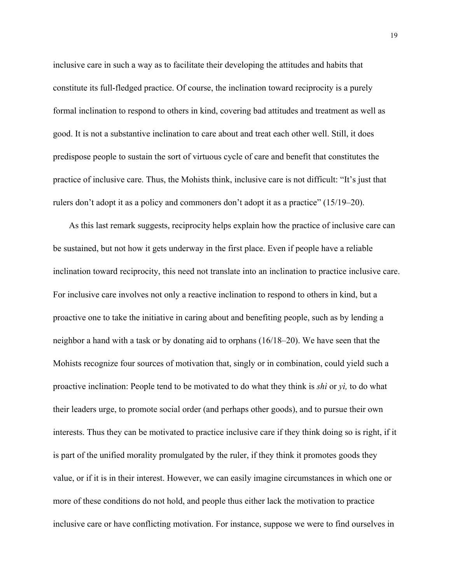inclusive care in such a way as to facilitate their developing the attitudes and habits that constitute its full-fledged practice. Of course, the inclination toward reciprocity is a purely formal inclination to respond to others in kind, covering bad attitudes and treatment as well as good. It is not a substantive inclination to care about and treat each other well. Still, it does predispose people to sustain the sort of virtuous cycle of care and benefit that constitutes the practice of inclusive care. Thus, the Mohists think, inclusive care is not difficult: "It's just that rulers don't adopt it as a policy and commoners don't adopt it as a practice" (15/19–20).

As this last remark suggests, reciprocity helps explain how the practice of inclusive care can be sustained, but not how it gets underway in the first place. Even if people have a reliable inclination toward reciprocity, this need not translate into an inclination to practice inclusive care. For inclusive care involves not only a reactive inclination to respond to others in kind, but a proactive one to take the initiative in caring about and benefiting people, such as by lending a neighbor a hand with a task or by donating aid to orphans (16/18–20). We have seen that the Mohists recognize four sources of motivation that, singly or in combination, could yield such a proactive inclination: People tend to be motivated to do what they think is *shì* or *yì,* to do what their leaders urge, to promote social order (and perhaps other goods), and to pursue their own interests. Thus they can be motivated to practice inclusive care if they think doing so is right, if it is part of the unified morality promulgated by the ruler, if they think it promotes goods they value, or if it is in their interest. However, we can easily imagine circumstances in which one or more of these conditions do not hold, and people thus either lack the motivation to practice inclusive care or have conflicting motivation. For instance, suppose we were to find ourselves in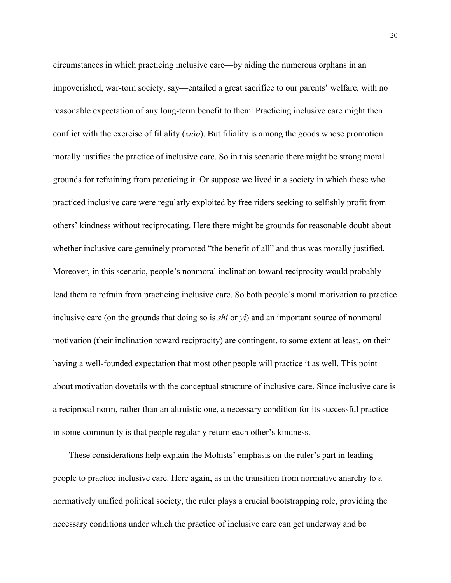circumstances in which practicing inclusive care—by aiding the numerous orphans in an impoverished, war-torn society, say—entailed a great sacrifice to our parents' welfare, with no reasonable expectation of any long-term benefit to them. Practicing inclusive care might then conflict with the exercise of filiality (*xiào*). But filiality is among the goods whose promotion morally justifies the practice of inclusive care. So in this scenario there might be strong moral grounds for refraining from practicing it. Or suppose we lived in a society in which those who practiced inclusive care were regularly exploited by free riders seeking to selfishly profit from others' kindness without reciprocating. Here there might be grounds for reasonable doubt about whether inclusive care genuinely promoted "the benefit of all" and thus was morally justified. Moreover, in this scenario, people's nonmoral inclination toward reciprocity would probably lead them to refrain from practicing inclusive care. So both people's moral motivation to practice inclusive care (on the grounds that doing so is *shì* or *yì*) and an important source of nonmoral motivation (their inclination toward reciprocity) are contingent, to some extent at least, on their having a well-founded expectation that most other people will practice it as well. This point about motivation dovetails with the conceptual structure of inclusive care. Since inclusive care is a reciprocal norm, rather than an altruistic one, a necessary condition for its successful practice in some community is that people regularly return each other's kindness.

These considerations help explain the Mohists' emphasis on the ruler's part in leading people to practice inclusive care. Here again, as in the transition from normative anarchy to a normatively unified political society, the ruler plays a crucial bootstrapping role, providing the necessary conditions under which the practice of inclusive care can get underway and be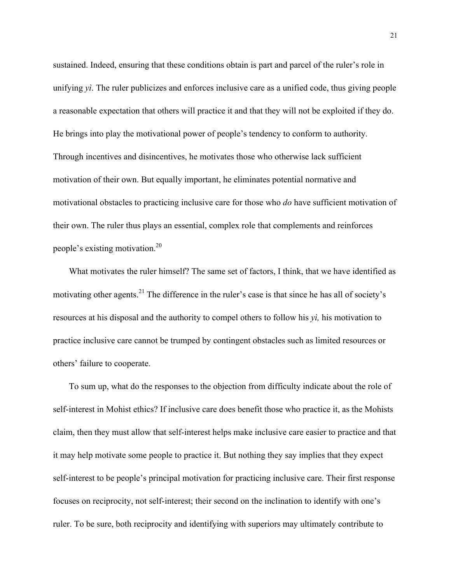sustained. Indeed, ensuring that these conditions obtain is part and parcel of the ruler's role in unifying *yì*. The ruler publicizes and enforces inclusive care as a unified code, thus giving people a reasonable expectation that others will practice it and that they will not be exploited if they do. He brings into play the motivational power of people's tendency to conform to authority. Through incentives and disincentives, he motivates those who otherwise lack sufficient motivation of their own. But equally important, he eliminates potential normative and motivational obstacles to practicing inclusive care for those who *do* have sufficient motivation of their own. The ruler thus plays an essential, complex role that complements and reinforces people's existing motivation.<sup>20</sup>

What motivates the ruler himself? The same set of factors, I think, that we have identified as motivating other agents.<sup>21</sup> The difference in the ruler's case is that since he has all of society's resources at his disposal and the authority to compel others to follow his *yì,* his motivation to practice inclusive care cannot be trumped by contingent obstacles such as limited resources or others' failure to cooperate.

To sum up, what do the responses to the objection from difficulty indicate about the role of self-interest in Mohist ethics? If inclusive care does benefit those who practice it, as the Mohists claim, then they must allow that self-interest helps make inclusive care easier to practice and that it may help motivate some people to practice it. But nothing they say implies that they expect self-interest to be people's principal motivation for practicing inclusive care. Their first response focuses on reciprocity, not self-interest; their second on the inclination to identify with one's ruler. To be sure, both reciprocity and identifying with superiors may ultimately contribute to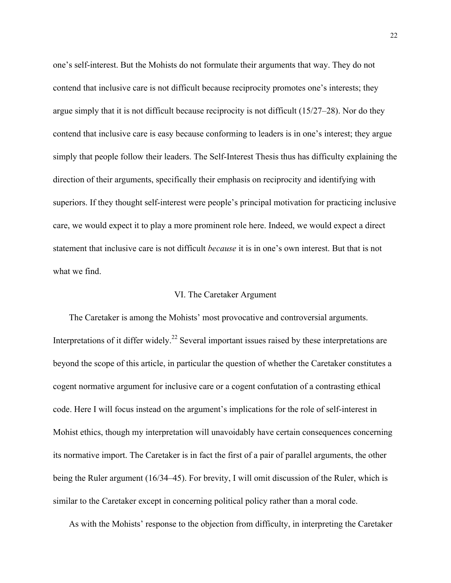one's self-interest. But the Mohists do not formulate their arguments that way. They do not contend that inclusive care is not difficult because reciprocity promotes one's interests; they argue simply that it is not difficult because reciprocity is not difficult  $(15/27-28)$ . Nor do they contend that inclusive care is easy because conforming to leaders is in one's interest; they argue simply that people follow their leaders. The Self-Interest Thesis thus has difficulty explaining the direction of their arguments, specifically their emphasis on reciprocity and identifying with superiors. If they thought self-interest were people's principal motivation for practicing inclusive care, we would expect it to play a more prominent role here. Indeed, we would expect a direct statement that inclusive care is not difficult *because* it is in one's own interest. But that is not what we find.

## VI. The Caretaker Argument

The Caretaker is among the Mohists' most provocative and controversial arguments. Interpretations of it differ widely.<sup>22</sup> Several important issues raised by these interpretations are beyond the scope of this article, in particular the question of whether the Caretaker constitutes a cogent normative argument for inclusive care or a cogent confutation of a contrasting ethical code. Here I will focus instead on the argument's implications for the role of self-interest in Mohist ethics, though my interpretation will unavoidably have certain consequences concerning its normative import. The Caretaker is in fact the first of a pair of parallel arguments, the other being the Ruler argument (16/34–45). For brevity, I will omit discussion of the Ruler, which is similar to the Caretaker except in concerning political policy rather than a moral code.

As with the Mohists' response to the objection from difficulty, in interpreting the Caretaker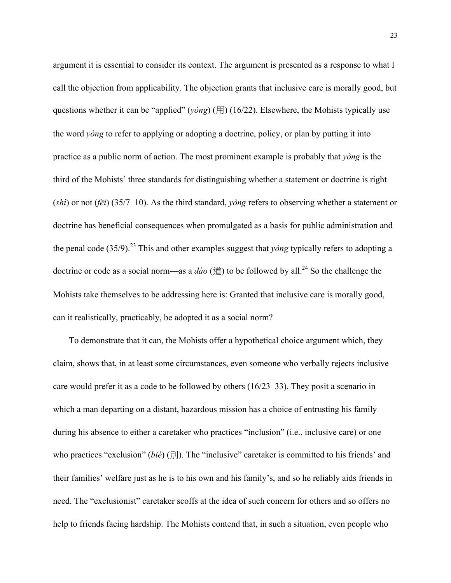argument it is essential to consider its context. The argument is presented as a response to what I call the objection from applicability. The objection grants that inclusive care is morally good, but questions whether it can be "applied" (*yòng*) (用) (16/22). Elsewhere, the Mohists typically use the word *yòng* to refer to applying or adopting a doctrine, policy, or plan by putting it into practice as a public norm of action. The most prominent example is probably that *yòng* is the third of the Mohists' three standards for distinguishing whether a statement or doctrine is right (*shì*) or not (*fēi*) (35/7–10). As the third standard, *yòng* refers to observing whether a statement or doctrine has beneficial consequences when promulgated as a basis for public administration and the penal code  $(35/9)$ <sup>23</sup>. This and other examples suggest that *yong* typically refers to adopting a doctrine or code as a social norm—as a  $d\dot{a}$  ( $\ddot{a}$ ) to be followed by all.<sup>24</sup> So the challenge the Mohists take themselves to be addressing here is: Granted that inclusive care is morally good, can it realistically, practicably, be adopted it as a social norm?

To demonstrate that it can, the Mohists offer a hypothetical choice argument which, they claim, shows that, in at least some circumstances, even someone who verbally rejects inclusive care would prefer it as a code to be followed by others (16/23–33). They posit a scenario in which a man departing on a distant, hazardous mission has a choice of entrusting his family during his absence to either a caretaker who practices "inclusion" (i.e., inclusive care) or one who practices "exclusion" (*bié*) (別). The "inclusive" caretaker is committed to his friends' and their families' welfare just as he is to his own and his family's, and so he reliably aids friends in need. The "exclusionist" caretaker scoffs at the idea of such concern for others and so offers no help to friends facing hardship. The Mohists contend that, in such a situation, even people who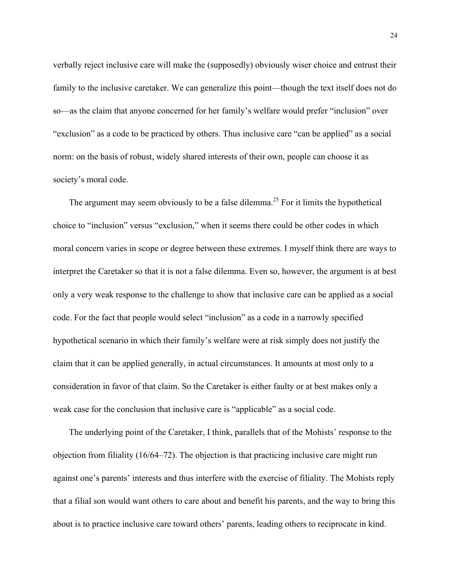verbally reject inclusive care will make the (supposedly) obviously wiser choice and entrust their family to the inclusive caretaker. We can generalize this point—though the text itself does not do so—as the claim that anyone concerned for her family's welfare would prefer "inclusion" over "exclusion" as a code to be practiced by others. Thus inclusive care "can be applied" as a social norm: on the basis of robust, widely shared interests of their own, people can choose it as society's moral code.

The argument may seem obviously to be a false dilemma.<sup>25</sup> For it limits the hypothetical choice to "inclusion" versus "exclusion," when it seems there could be other codes in which moral concern varies in scope or degree between these extremes. I myself think there are ways to interpret the Caretaker so that it is not a false dilemma. Even so, however, the argument is at best only a very weak response to the challenge to show that inclusive care can be applied as a social code. For the fact that people would select "inclusion" as a code in a narrowly specified hypothetical scenario in which their family's welfare were at risk simply does not justify the claim that it can be applied generally, in actual circumstances. It amounts at most only to a consideration in favor of that claim. So the Caretaker is either faulty or at best makes only a weak case for the conclusion that inclusive care is "applicable" as a social code.

The underlying point of the Caretaker, I think, parallels that of the Mohists' response to the objection from filiality (16/64–72). The objection is that practicing inclusive care might run against one's parents' interests and thus interfere with the exercise of filiality. The Mohists reply that a filial son would want others to care about and benefit his parents, and the way to bring this about is to practice inclusive care toward others' parents, leading others to reciprocate in kind.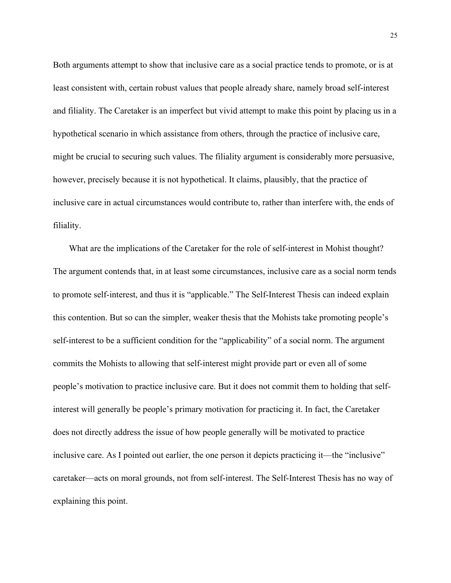Both arguments attempt to show that inclusive care as a social practice tends to promote, or is at least consistent with, certain robust values that people already share, namely broad self-interest and filiality. The Caretaker is an imperfect but vivid attempt to make this point by placing us in a hypothetical scenario in which assistance from others, through the practice of inclusive care, might be crucial to securing such values. The filiality argument is considerably more persuasive, however, precisely because it is not hypothetical. It claims, plausibly, that the practice of inclusive care in actual circumstances would contribute to, rather than interfere with, the ends of filiality.

What are the implications of the Caretaker for the role of self-interest in Mohist thought? The argument contends that, in at least some circumstances, inclusive care as a social norm tends to promote self-interest, and thus it is "applicable." The Self-Interest Thesis can indeed explain this contention. But so can the simpler, weaker thesis that the Mohists take promoting people's self-interest to be a sufficient condition for the "applicability" of a social norm. The argument commits the Mohists to allowing that self-interest might provide part or even all of some people's motivation to practice inclusive care. But it does not commit them to holding that selfinterest will generally be people's primary motivation for practicing it. In fact, the Caretaker does not directly address the issue of how people generally will be motivated to practice inclusive care. As I pointed out earlier, the one person it depicts practicing it—the "inclusive" caretaker—acts on moral grounds, not from self-interest. The Self-Interest Thesis has no way of explaining this point.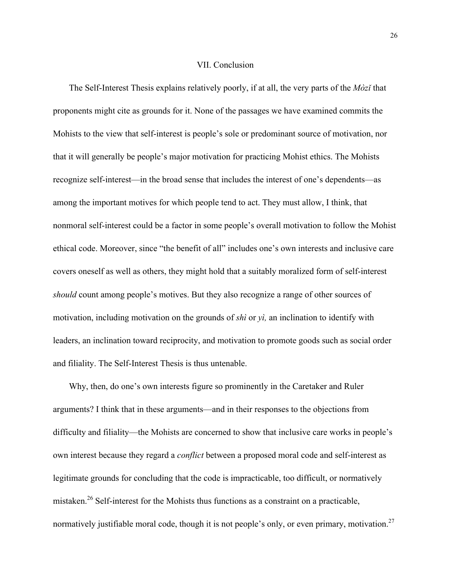# VII. Conclusion

The Self-Interest Thesis explains relatively poorly, if at all, the very parts of the *Mòzǐ* that proponents might cite as grounds for it. None of the passages we have examined commits the Mohists to the view that self-interest is people's sole or predominant source of motivation, nor that it will generally be people's major motivation for practicing Mohist ethics. The Mohists recognize self-interest—in the broad sense that includes the interest of one's dependents—as among the important motives for which people tend to act. They must allow, I think, that nonmoral self-interest could be a factor in some people's overall motivation to follow the Mohist ethical code. Moreover, since "the benefit of all" includes one's own interests and inclusive care covers oneself as well as others, they might hold that a suitably moralized form of self-interest *should* count among people's motives. But they also recognize a range of other sources of motivation, including motivation on the grounds of *shì* or *yì,* an inclination to identify with leaders, an inclination toward reciprocity, and motivation to promote goods such as social order and filiality. The Self-Interest Thesis is thus untenable.

Why, then, do one's own interests figure so prominently in the Caretaker and Ruler arguments? I think that in these arguments—and in their responses to the objections from difficulty and filiality—the Mohists are concerned to show that inclusive care works in people's own interest because they regard a *conflict* between a proposed moral code and self-interest as legitimate grounds for concluding that the code is impracticable, too difficult, or normatively mistaken.26 Self-interest for the Mohists thus functions as a constraint on a practicable, normatively justifiable moral code, though it is not people's only, or even primary, motivation.<sup>27</sup>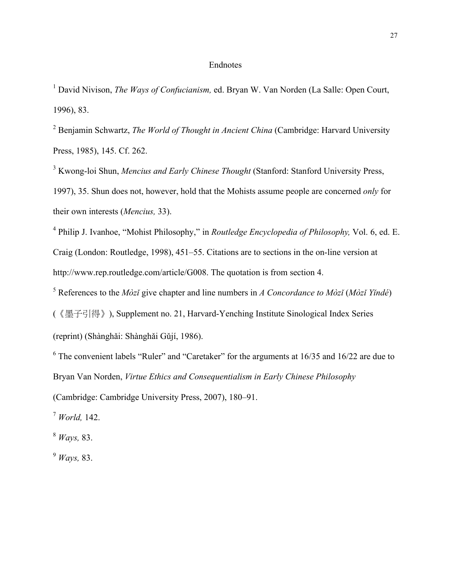## Endnotes

<sup>1</sup> David Nivison, *The Ways of Confucianism*, ed. Bryan W. Van Norden (La Salle: Open Court, 1996), 83.

<sup>2</sup> Benjamin Schwartz, *The World of Thought in Ancient China* (Cambridge: Harvard University Press, 1985), 145. Cf. 262.

<sup>3</sup> Kwong-loi Shun, *Mencius and Early Chinese Thought* (Stanford: Stanford University Press, 1997), 35. Shun does not, however, hold that the Mohists assume people are concerned *only* for their own interests (*Mencius,* 33).

4 Philip J. Ivanhoe, "Mohist Philosophy," in *Routledge Encyclopedia of Philosophy,* Vol. 6, ed. E. Craig (London: Routledge, 1998), 451–55. Citations are to sections in the on-line version at http://www.rep.routledge.com/article/G008. The quotation is from section 4.

<sup>5</sup> References to the *Mòzǐ* give chapter and line numbers in *A Concordance to Mòzǐ* (*Mòzǐ Yǐndé*)

(《墨子引得》), Supplement no. 21, Harvard-Yenching Institute Sinological Index Series

(reprint) (Shànghǎi: Shànghǎi Gǔjí, 1986).

 $6$  The convenient labels "Ruler" and "Caretaker" for the arguments at  $16/35$  and  $16/22$  are due to Bryan Van Norden, *Virtue Ethics and Consequentialism in Early Chinese Philosophy*  (Cambridge: Cambridge University Press, 2007), 180–91.

<sup>7</sup> *World,* 142.

<sup>8</sup> *Ways,* 83.

<sup>9</sup> *Ways,* 83.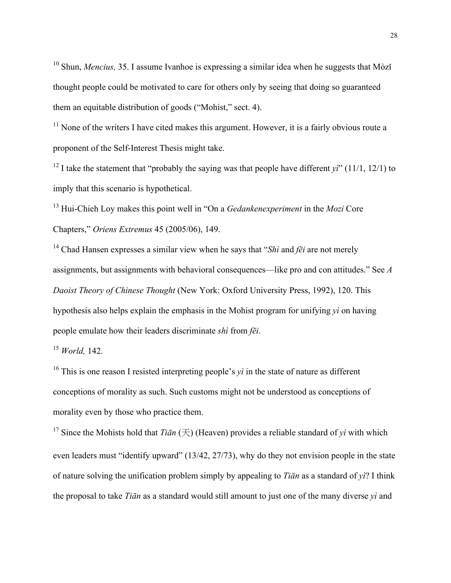<sup>10</sup> Shun, *Mencius*, 35. I assume Ivanhoe is expressing a similar idea when he suggests that Mòzi thought people could be motivated to care for others only by seeing that doing so guaranteed them an equitable distribution of goods ("Mohist," sect. 4).

 $11$  None of the writers I have cited makes this argument. However, it is a fairly obvious route a proponent of the Self-Interest Thesis might take.

<sup>12</sup> I take the statement that "probably the saying was that people have different  $yi$ " (11/1, 12/1) to imply that this scenario is hypothetical.

13 Hui-Chieh Loy makes this point well in "On a *Gedankenexperiment* in the *Mozi* Core Chapters," *Oriens Extremus* 45 (2005/06), 149.

14 Chad Hansen expresses a similar view when he says that "*Shì* and *fēi* are not merely assignments, but assignments with behavioral consequences—like pro and con attitudes." See *A Daoist Theory of Chinese Thought* (New York: Oxford University Press, 1992), 120. This hypothesis also helps explain the emphasis in the Mohist program for unifying *yì* on having people emulate how their leaders discriminate *shì* from *fēi*.

<sup>15</sup> *World,* 142.

<sup>16</sup> This is one reason I resisted interpreting people's  $y\hat{i}$  in the state of nature as different conceptions of morality as such. Such customs might not be understood as conceptions of morality even by those who practice them.

<sup>17</sup> Since the Mohists hold that *Tiān* ( $\pm$ ) (Heaven) provides a reliable standard of *yi* with which even leaders must "identify upward" (13/42, 27/73), why do they not envision people in the state of nature solving the unification problem simply by appealing to *Tiān* as a standard of *yì*? I think the proposal to take *Tiān* as a standard would still amount to just one of the many diverse *yì* and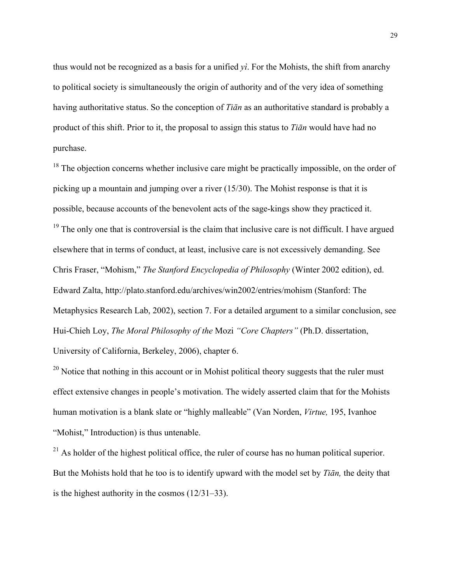thus would not be recognized as a basis for a unified *yì*. For the Mohists, the shift from anarchy to political society is simultaneously the origin of authority and of the very idea of something having authoritative status. So the conception of *Tiān* as an authoritative standard is probably a product of this shift. Prior to it, the proposal to assign this status to *Tiān* would have had no purchase.

 $18$  The objection concerns whether inclusive care might be practically impossible, on the order of picking up a mountain and jumping over a river (15/30). The Mohist response is that it is possible, because accounts of the benevolent acts of the sage-kings show they practiced it.  $19$  The only one that is controversial is the claim that inclusive care is not difficult. I have argued elsewhere that in terms of conduct, at least, inclusive care is not excessively demanding. See Chris Fraser, "Mohism," *The Stanford Encyclopedia of Philosophy* (Winter 2002 edition), ed. Edward Zalta, http://plato.stanford.edu/archives/win2002/entries/mohism (Stanford: The Metaphysics Research Lab, 2002), section 7. For a detailed argument to a similar conclusion, see Hui-Chieh Loy, *The Moral Philosophy of the* Mozi *"Core Chapters"* (Ph.D. dissertation, University of California, Berkeley, 2006), chapter 6.

 $20$  Notice that nothing in this account or in Mohist political theory suggests that the ruler must effect extensive changes in people's motivation. The widely asserted claim that for the Mohists human motivation is a blank slate or "highly malleable" (Van Norden, *Virtue,* 195, Ivanhoe "Mohist," Introduction) is thus untenable.

 $^{21}$  As holder of the highest political office, the ruler of course has no human political superior. But the Mohists hold that he too is to identify upward with the model set by *Tiān,* the deity that is the highest authority in the cosmos (12/31–33).